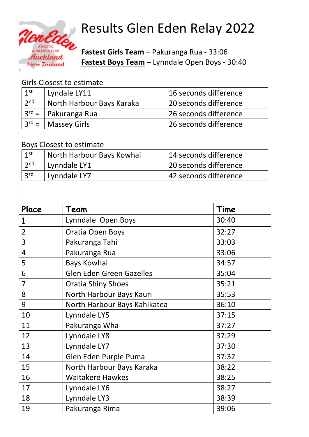

## Results Glen Eden Relay 2022

**Fastest Girls Team** – Pakuranga Rua - 33:06 **Fastest Boys Team** – Lynndale Open Boys - 30:40

## Girls Closest to estimate

| 1 <sup>st</sup> | Lyndale LY11                                   | 16 seconds difference |
|-----------------|------------------------------------------------|-----------------------|
| 2 <sub>nd</sub> | North Harbour Bays Karaka                      | 20 seconds difference |
|                 | <sub>1</sub> 3 <sup>rd</sup> =   Pakuranga Rua | 26 seconds difference |
|                 | $13^{rd} =$ Massey Girls                       | 26 seconds difference |

## Boys Closest to estimate

| 1 <sup>st</sup> | North Harbour Bays Kowhai | 14 seconds difference |
|-----------------|---------------------------|-----------------------|
| 2 <sub>nd</sub> | Lynndale LY1              | 20 seconds difference |
| 3 <sup>rd</sup> | Lynndale LY7              | 42 seconds difference |

| Place          | Team                            | Time  |
|----------------|---------------------------------|-------|
| 1              | Lynndale Open Boys              | 30:40 |
| $\overline{2}$ | Oratia Open Boys                | 32:27 |
| 3              | Pakuranga Tahi                  | 33:03 |
| $\overline{4}$ | Pakuranga Rua                   | 33:06 |
| 5              | Bays Kowhai                     | 34:57 |
| 6              | <b>Glen Eden Green Gazelles</b> | 35:04 |
| 7              | <b>Oratia Shiny Shoes</b>       | 35:21 |
| 8              | North Harbour Bays Kauri        | 35:53 |
| 9              | North Harbour Bays Kahikatea    | 36:10 |
| 10             | Lynndale LY5                    | 37:15 |
| 11             | Pakuranga Wha                   | 37:27 |
| 12             | Lynndale LY8                    | 37:29 |
| 13             | Lynndale LY7                    | 37:30 |
| 14             | Glen Eden Purple Puma           | 37:32 |
| 15             | North Harbour Bays Karaka       | 38:22 |
| 16             | <b>Waitakere Hawkes</b>         | 38:25 |
| 17             | Lynndale LY6                    | 38:27 |
| 18             | Lynndale LY3                    | 38:39 |
| 19             | Pakuranga Rima                  | 39:06 |